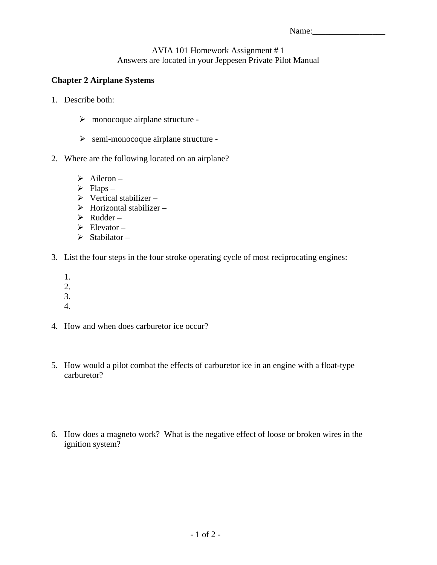## AVIA 101 Homework Assignment # 1 Answers are located in your Jeppesen Private Pilot Manual

## **Chapter 2 Airplane Systems**

- 1. Describe both:
	- $\triangleright$  monocoque airplane structure -
	- $\triangleright$  semi-monocoque airplane structure -
- 2. Where are the following located on an airplane?
	- $\triangleright$  Aileron –
	- $\triangleright$  Flaps –
	- $\triangleright$  Vertical stabilizer –
	- $\triangleright$  Horizontal stabilizer –
	- $\triangleright$  Rudder –
	- $\triangleright$  Elevator –
	- $\triangleright$  Stabilator –
- 3. List the four steps in the four stroke operating cycle of most reciprocating engines:
	- 1.
	- 2.
	- 3.
	- 4.
- 4. How and when does carburetor ice occur?
- 5. How would a pilot combat the effects of carburetor ice in an engine with a float-type carburetor?
- 6. How does a magneto work? What is the negative effect of loose or broken wires in the ignition system?